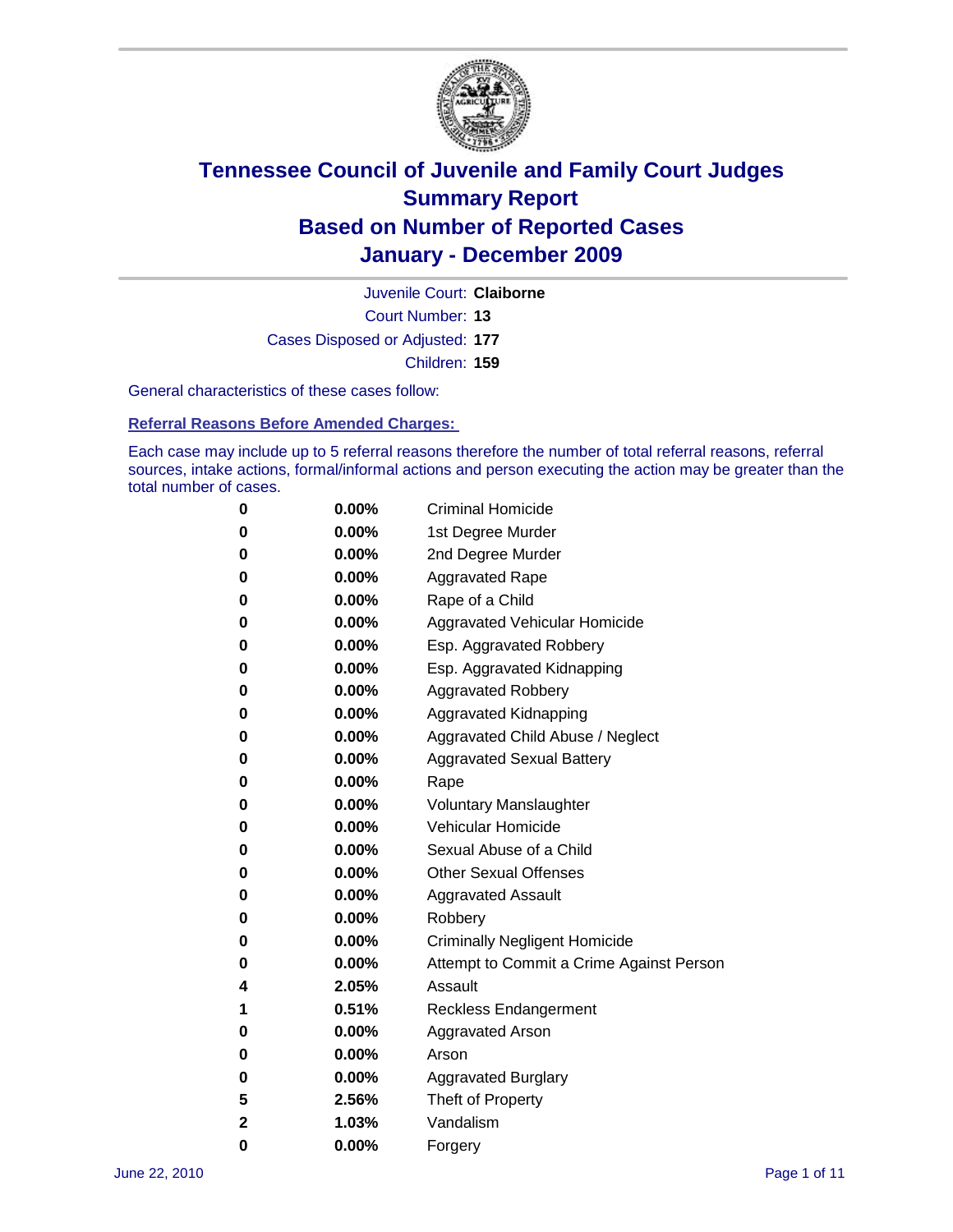

Court Number: **13** Juvenile Court: **Claiborne** Cases Disposed or Adjusted: **177** Children: **159**

General characteristics of these cases follow:

**Referral Reasons Before Amended Charges:** 

Each case may include up to 5 referral reasons therefore the number of total referral reasons, referral sources, intake actions, formal/informal actions and person executing the action may be greater than the total number of cases.

| 0 | $0.00\%$ | <b>Criminal Homicide</b>                 |
|---|----------|------------------------------------------|
| 0 | $0.00\%$ | 1st Degree Murder                        |
| 0 | $0.00\%$ | 2nd Degree Murder                        |
| 0 | $0.00\%$ | <b>Aggravated Rape</b>                   |
| 0 | $0.00\%$ | Rape of a Child                          |
| 0 | $0.00\%$ | Aggravated Vehicular Homicide            |
| 0 | $0.00\%$ | Esp. Aggravated Robbery                  |
| 0 | $0.00\%$ | Esp. Aggravated Kidnapping               |
| 0 | $0.00\%$ | <b>Aggravated Robbery</b>                |
| 0 | $0.00\%$ | Aggravated Kidnapping                    |
| 0 | 0.00%    | Aggravated Child Abuse / Neglect         |
| 0 | 0.00%    | <b>Aggravated Sexual Battery</b>         |
| 0 | $0.00\%$ | Rape                                     |
| 0 | $0.00\%$ | <b>Voluntary Manslaughter</b>            |
| 0 | $0.00\%$ | Vehicular Homicide                       |
| 0 | $0.00\%$ | Sexual Abuse of a Child                  |
| 0 | $0.00\%$ | <b>Other Sexual Offenses</b>             |
| 0 | $0.00\%$ | <b>Aggravated Assault</b>                |
| 0 | 0.00%    | Robbery                                  |
| 0 | $0.00\%$ | <b>Criminally Negligent Homicide</b>     |
| 0 | $0.00\%$ | Attempt to Commit a Crime Against Person |
| 4 | 2.05%    | Assault                                  |
| 1 | 0.51%    | <b>Reckless Endangerment</b>             |
| 0 | $0.00\%$ | <b>Aggravated Arson</b>                  |
| 0 | $0.00\%$ | Arson                                    |
| 0 | $0.00\%$ | <b>Aggravated Burglary</b>               |
| 5 | 2.56%    | Theft of Property                        |
| 2 | 1.03%    | Vandalism                                |
| 0 | 0.00%    | Forgery                                  |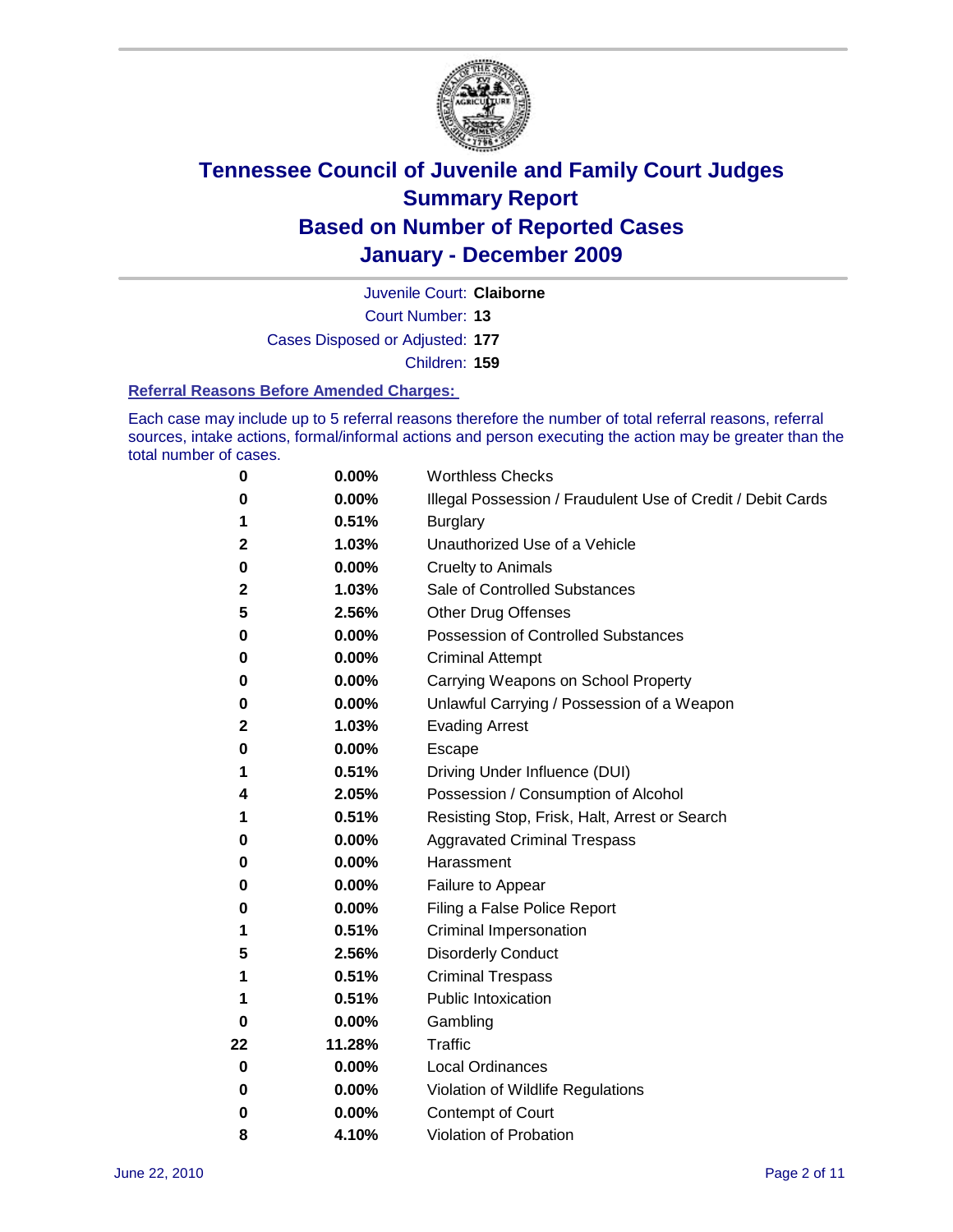

Juvenile Court: **Claiborne**

Court Number: **13**

Cases Disposed or Adjusted: **177**

Children: **159**

#### **Referral Reasons Before Amended Charges:**

Each case may include up to 5 referral reasons therefore the number of total referral reasons, referral sources, intake actions, formal/informal actions and person executing the action may be greater than the total number of cases.

| 0  | 0.00%  | <b>Worthless Checks</b>                                     |
|----|--------|-------------------------------------------------------------|
| 0  | 0.00%  | Illegal Possession / Fraudulent Use of Credit / Debit Cards |
| 1  | 0.51%  | <b>Burglary</b>                                             |
| 2  | 1.03%  | Unauthorized Use of a Vehicle                               |
| 0  | 0.00%  | <b>Cruelty to Animals</b>                                   |
| 2  | 1.03%  | Sale of Controlled Substances                               |
| 5  | 2.56%  | <b>Other Drug Offenses</b>                                  |
| 0  | 0.00%  | <b>Possession of Controlled Substances</b>                  |
| 0  | 0.00%  | <b>Criminal Attempt</b>                                     |
| 0  | 0.00%  | Carrying Weapons on School Property                         |
| 0  | 0.00%  | Unlawful Carrying / Possession of a Weapon                  |
| 2  | 1.03%  | <b>Evading Arrest</b>                                       |
| 0  | 0.00%  | Escape                                                      |
| 1  | 0.51%  | Driving Under Influence (DUI)                               |
| 4  | 2.05%  | Possession / Consumption of Alcohol                         |
| 1  | 0.51%  | Resisting Stop, Frisk, Halt, Arrest or Search               |
| 0  | 0.00%  | <b>Aggravated Criminal Trespass</b>                         |
| 0  | 0.00%  | Harassment                                                  |
| 0  | 0.00%  | Failure to Appear                                           |
| 0  | 0.00%  | Filing a False Police Report                                |
| 1  | 0.51%  | Criminal Impersonation                                      |
| 5  | 2.56%  | <b>Disorderly Conduct</b>                                   |
| 1  | 0.51%  | <b>Criminal Trespass</b>                                    |
| 1  | 0.51%  | <b>Public Intoxication</b>                                  |
| 0  | 0.00%  | Gambling                                                    |
| 22 | 11.28% | <b>Traffic</b>                                              |
| 0  | 0.00%  | <b>Local Ordinances</b>                                     |
| 0  | 0.00%  | Violation of Wildlife Regulations                           |
| 0  | 0.00%  | Contempt of Court                                           |
| 8  | 4.10%  | Violation of Probation                                      |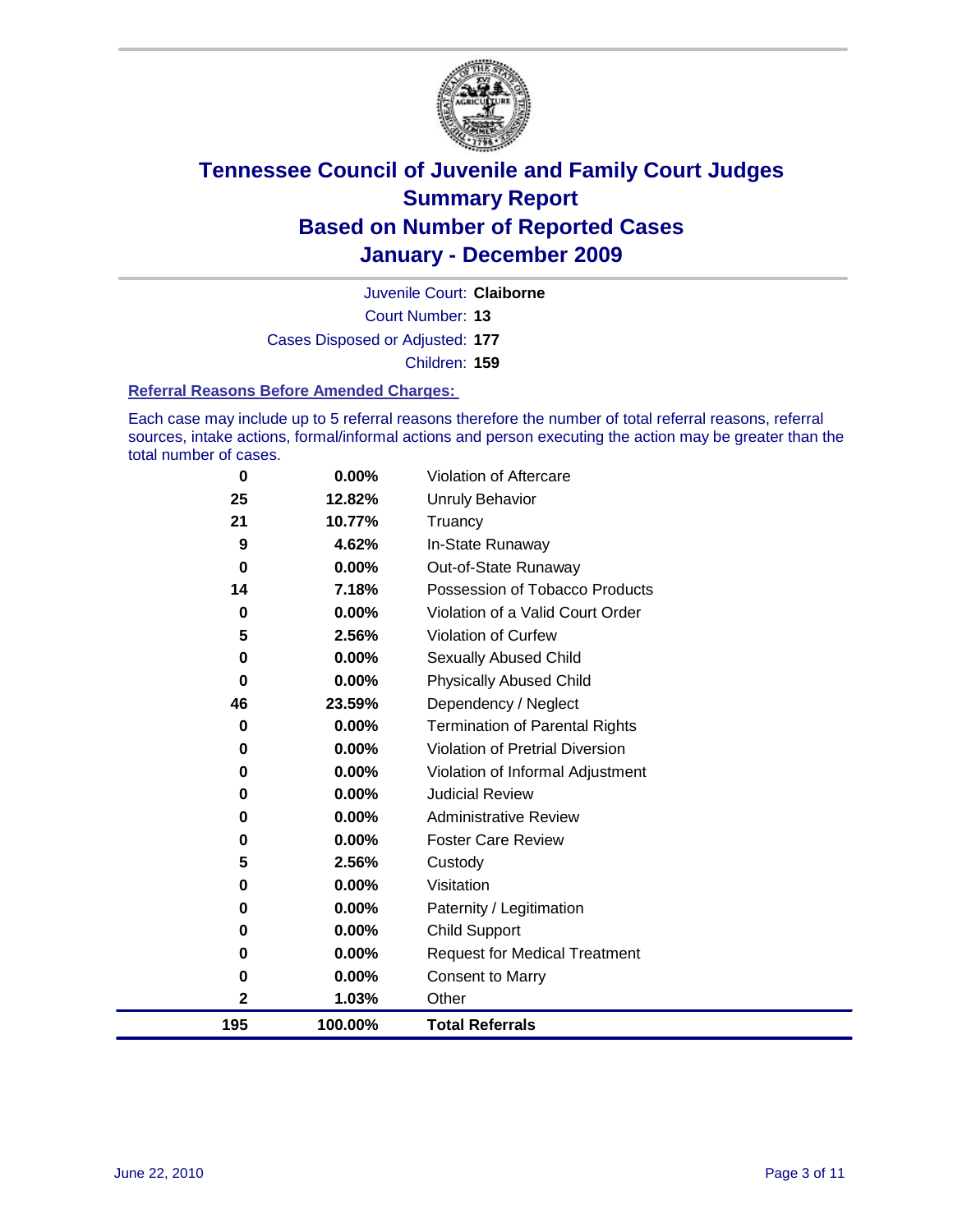

Court Number: **13** Juvenile Court: **Claiborne** Cases Disposed or Adjusted: **177** Children: **159**

#### **Referral Reasons Before Amended Charges:**

Each case may include up to 5 referral reasons therefore the number of total referral reasons, referral sources, intake actions, formal/informal actions and person executing the action may be greater than the total number of cases.

| 0            | 0.00%    | Violation of Aftercare                 |
|--------------|----------|----------------------------------------|
| 25           | 12.82%   | Unruly Behavior                        |
| 21           | 10.77%   | Truancy                                |
| 9            | 4.62%    | In-State Runaway                       |
| $\bf{0}$     | 0.00%    | Out-of-State Runaway                   |
| 14           | 7.18%    | Possession of Tobacco Products         |
| 0            | 0.00%    | Violation of a Valid Court Order       |
| 5            | 2.56%    | Violation of Curfew                    |
| 0            | 0.00%    | Sexually Abused Child                  |
| 0            | 0.00%    | <b>Physically Abused Child</b>         |
| 46           | 23.59%   | Dependency / Neglect                   |
| 0            | 0.00%    | <b>Termination of Parental Rights</b>  |
| 0            | 0.00%    | <b>Violation of Pretrial Diversion</b> |
| 0            | 0.00%    | Violation of Informal Adjustment       |
| 0            | $0.00\%$ | <b>Judicial Review</b>                 |
| 0            | 0.00%    | <b>Administrative Review</b>           |
| 0            | 0.00%    | <b>Foster Care Review</b>              |
| 5            | 2.56%    | Custody                                |
| 0            | 0.00%    | Visitation                             |
| 0            | 0.00%    | Paternity / Legitimation               |
| 0            | 0.00%    | <b>Child Support</b>                   |
| 0            | 0.00%    | <b>Request for Medical Treatment</b>   |
| 0            | 0.00%    | <b>Consent to Marry</b>                |
| $\mathbf{2}$ | 1.03%    | Other                                  |
| 195          | 100.00%  | <b>Total Referrals</b>                 |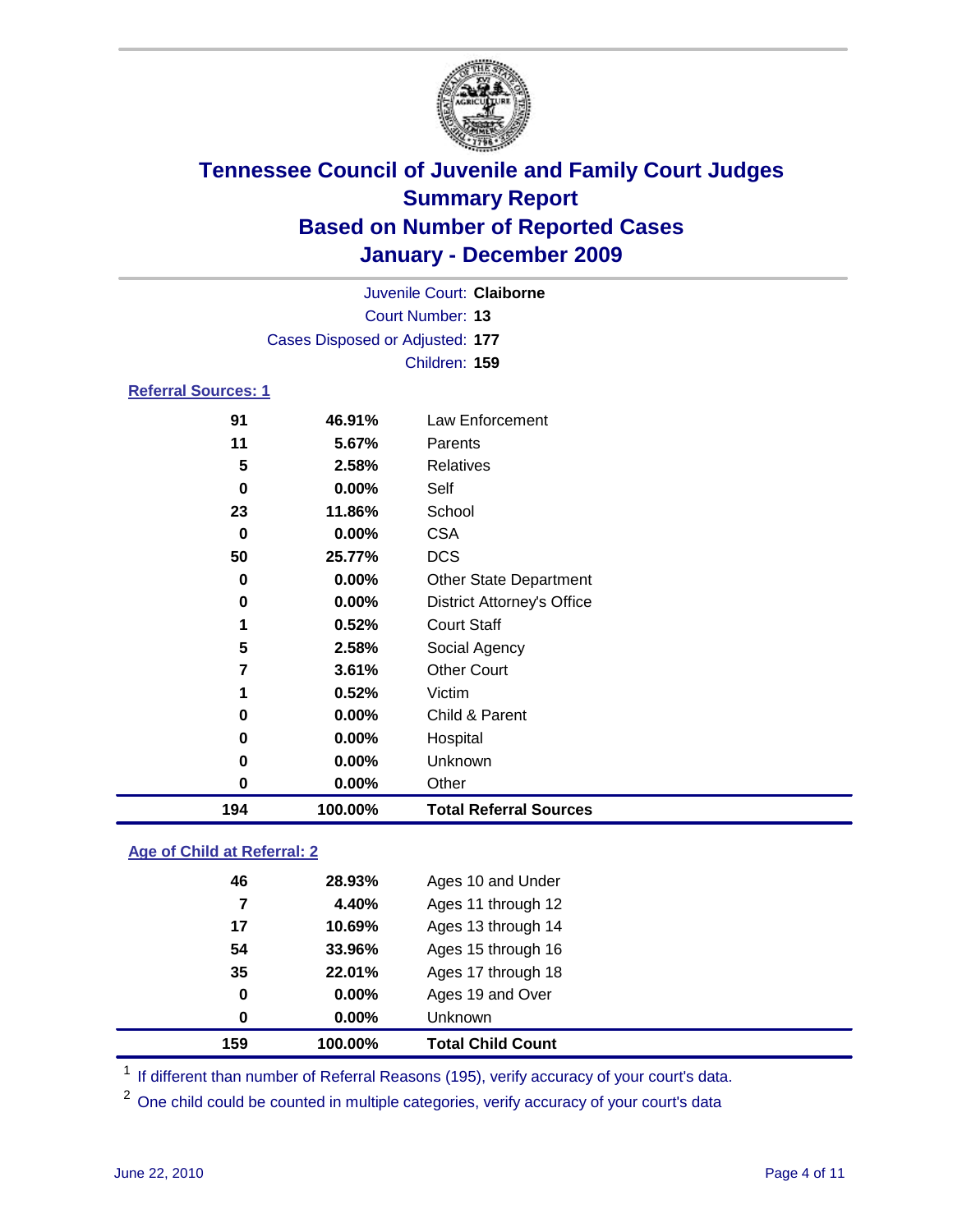

|                                 |        | Juvenile Court: Claiborne         |  |  |  |
|---------------------------------|--------|-----------------------------------|--|--|--|
| Court Number: 13                |        |                                   |  |  |  |
| Cases Disposed or Adjusted: 177 |        |                                   |  |  |  |
|                                 |        | Children: 159                     |  |  |  |
| <b>Referral Sources: 1</b>      |        |                                   |  |  |  |
| 91                              | 46.91% | Law Enforcement                   |  |  |  |
| 11                              | 5.67%  | Parents                           |  |  |  |
| 5                               | 2.58%  | Relatives                         |  |  |  |
| 0                               | 0.00%  | Self                              |  |  |  |
| 23                              | 11.86% | School                            |  |  |  |
| 0                               | 0.00%  | <b>CSA</b>                        |  |  |  |
| 50                              | 25.77% | <b>DCS</b>                        |  |  |  |
| $\bf{0}$                        | 0.00%  | <b>Other State Department</b>     |  |  |  |
| 0                               | 0.00%  | <b>District Attorney's Office</b> |  |  |  |
| 1                               | 0.52%  | <b>Court Staff</b>                |  |  |  |
| 5                               | 2.58%  | Social Agency                     |  |  |  |
| 7                               | 3.61%  | <b>Other Court</b>                |  |  |  |
| 1                               | 0.52%  | Victim                            |  |  |  |
| 0                               | 0.00%  | Child & Parent                    |  |  |  |
| 0                               | 0.00%  | Hospital                          |  |  |  |
| 0                               | 0.00%  | Unknown                           |  |  |  |

### **Age of Child at Referral: 2**

| 159 | 100.00%  | <b>Total Child Count</b> |
|-----|----------|--------------------------|
| 0   | 0.00%    | <b>Unknown</b>           |
| 0   | $0.00\%$ | Ages 19 and Over         |
| 35  | 22.01%   | Ages 17 through 18       |
| 54  | 33.96%   | Ages 15 through 16       |
| 17  | 10.69%   | Ages 13 through 14       |
| 7   | 4.40%    | Ages 11 through 12       |
| 46  | 28.93%   | Ages 10 and Under        |
|     |          |                          |

<sup>1</sup> If different than number of Referral Reasons (195), verify accuracy of your court's data.

**0.00%** Other

**100.00% Total Referral Sources**

<sup>2</sup> One child could be counted in multiple categories, verify accuracy of your court's data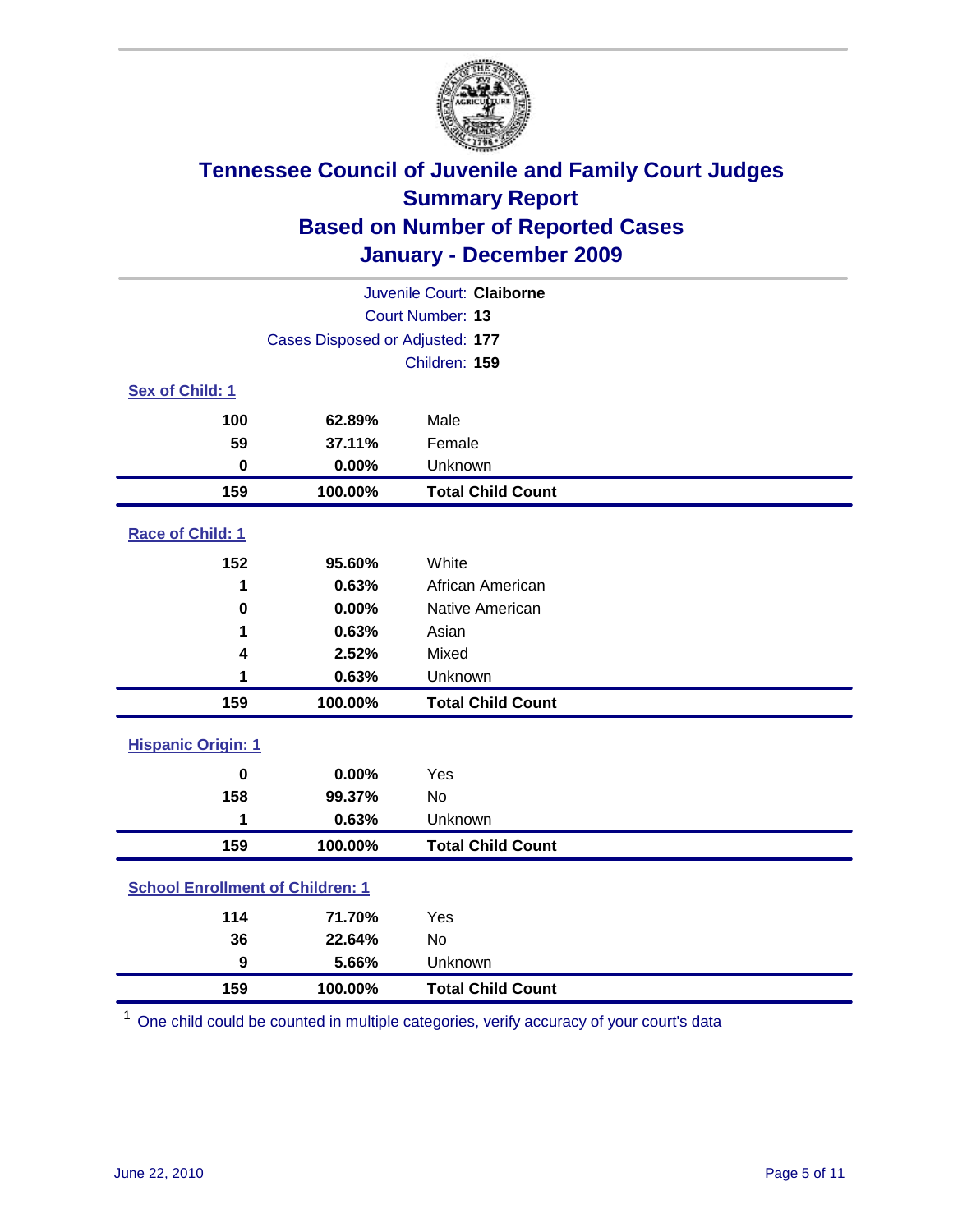

| Juvenile Court: Claiborne |                                         |                          |  |  |
|---------------------------|-----------------------------------------|--------------------------|--|--|
| <b>Court Number: 13</b>   |                                         |                          |  |  |
|                           | Cases Disposed or Adjusted: 177         |                          |  |  |
|                           |                                         | Children: 159            |  |  |
| Sex of Child: 1           |                                         |                          |  |  |
| 100                       | 62.89%                                  | Male                     |  |  |
| 59                        | 37.11%                                  | Female                   |  |  |
| $\mathbf 0$               | 0.00%                                   | Unknown                  |  |  |
| 159                       | 100.00%                                 | <b>Total Child Count</b> |  |  |
| Race of Child: 1          |                                         |                          |  |  |
| 152                       | 95.60%                                  | White                    |  |  |
| 1                         | 0.63%                                   | African American         |  |  |
| $\pmb{0}$                 | 0.00%                                   | Native American          |  |  |
| 1                         | 0.63%                                   | Asian                    |  |  |
| 4                         | 2.52%                                   | Mixed                    |  |  |
| 1                         | 0.63%                                   | Unknown                  |  |  |
| 159                       | 100.00%                                 | <b>Total Child Count</b> |  |  |
| <b>Hispanic Origin: 1</b> |                                         |                          |  |  |
| $\bf{0}$                  | 0.00%                                   | Yes                      |  |  |
| 158                       | 99.37%                                  | No                       |  |  |
| 1                         | 0.63%                                   | Unknown                  |  |  |
| 159                       | 100.00%                                 | <b>Total Child Count</b> |  |  |
|                           | <b>School Enrollment of Children: 1</b> |                          |  |  |
| 114                       | 71.70%                                  | Yes                      |  |  |
| 36                        | 22.64%                                  | No                       |  |  |
| 9                         | 5.66%                                   | Unknown                  |  |  |
| 159                       | 100.00%                                 | <b>Total Child Count</b> |  |  |

One child could be counted in multiple categories, verify accuracy of your court's data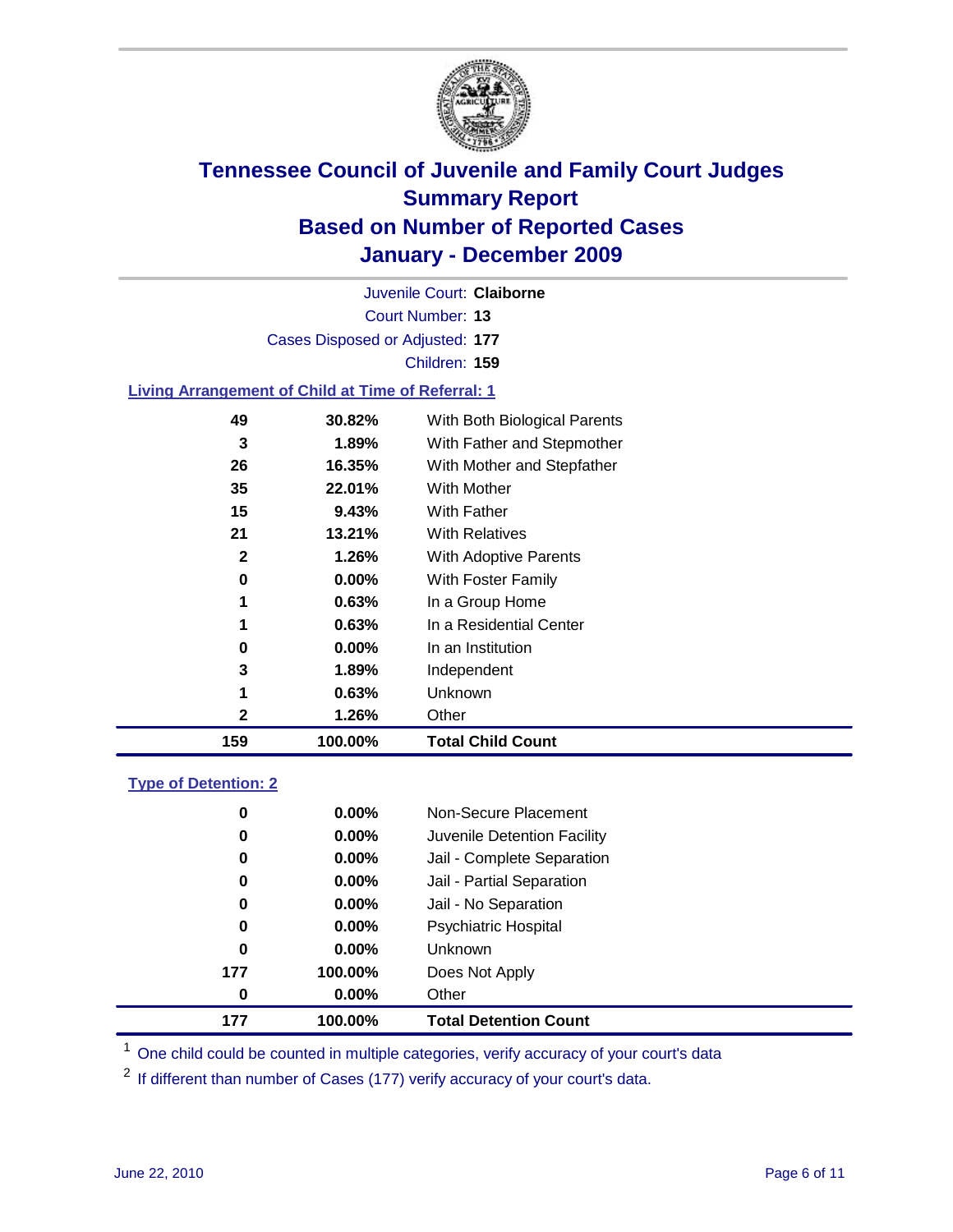

Court Number: **13** Juvenile Court: **Claiborne** Cases Disposed or Adjusted: **177** Children: **159 Living Arrangement of Child at Time of Referral: 1 30.82%** With Both Biological Parents **1.89%** With Father and Stepmother **16.35%** With Mother and Stepfather

| 159 | 100.00%  | <b>Total Child Count</b>     |
|-----|----------|------------------------------|
| 2   | 1.26%    | Other                        |
| 1   | 0.63%    | Unknown                      |
| 3   | $1.89\%$ | Independent                  |
| 0   | $0.00\%$ | In an Institution            |
| 1   | 0.63%    | In a Residential Center      |
| 1   | 0.63%    | In a Group Home              |
| 0   | $0.00\%$ | <b>With Foster Family</b>    |
| 2   | 1.26%    | <b>With Adoptive Parents</b> |
| 21  | 13.21%   | <b>With Relatives</b>        |
| 15  | 9.43%    | <b>With Father</b>           |
| 35  | 22.01%   | <b>With Mother</b>           |

### **Type of Detention: 2**

| 177      | 100.00%  | <b>Total Detention Count</b> |
|----------|----------|------------------------------|
| $\bf{0}$ | $0.00\%$ | Other                        |
| 177      | 100.00%  | Does Not Apply               |
| $\bf{0}$ | $0.00\%$ | Unknown                      |
| 0        | 0.00%    | <b>Psychiatric Hospital</b>  |
| 0        | 0.00%    | Jail - No Separation         |
| 0        | $0.00\%$ | Jail - Partial Separation    |
| 0        | $0.00\%$ | Jail - Complete Separation   |
| 0        | $0.00\%$ | Juvenile Detention Facility  |
| 0        | $0.00\%$ | Non-Secure Placement         |
|          |          |                              |

<sup>1</sup> One child could be counted in multiple categories, verify accuracy of your court's data

<sup>2</sup> If different than number of Cases (177) verify accuracy of your court's data.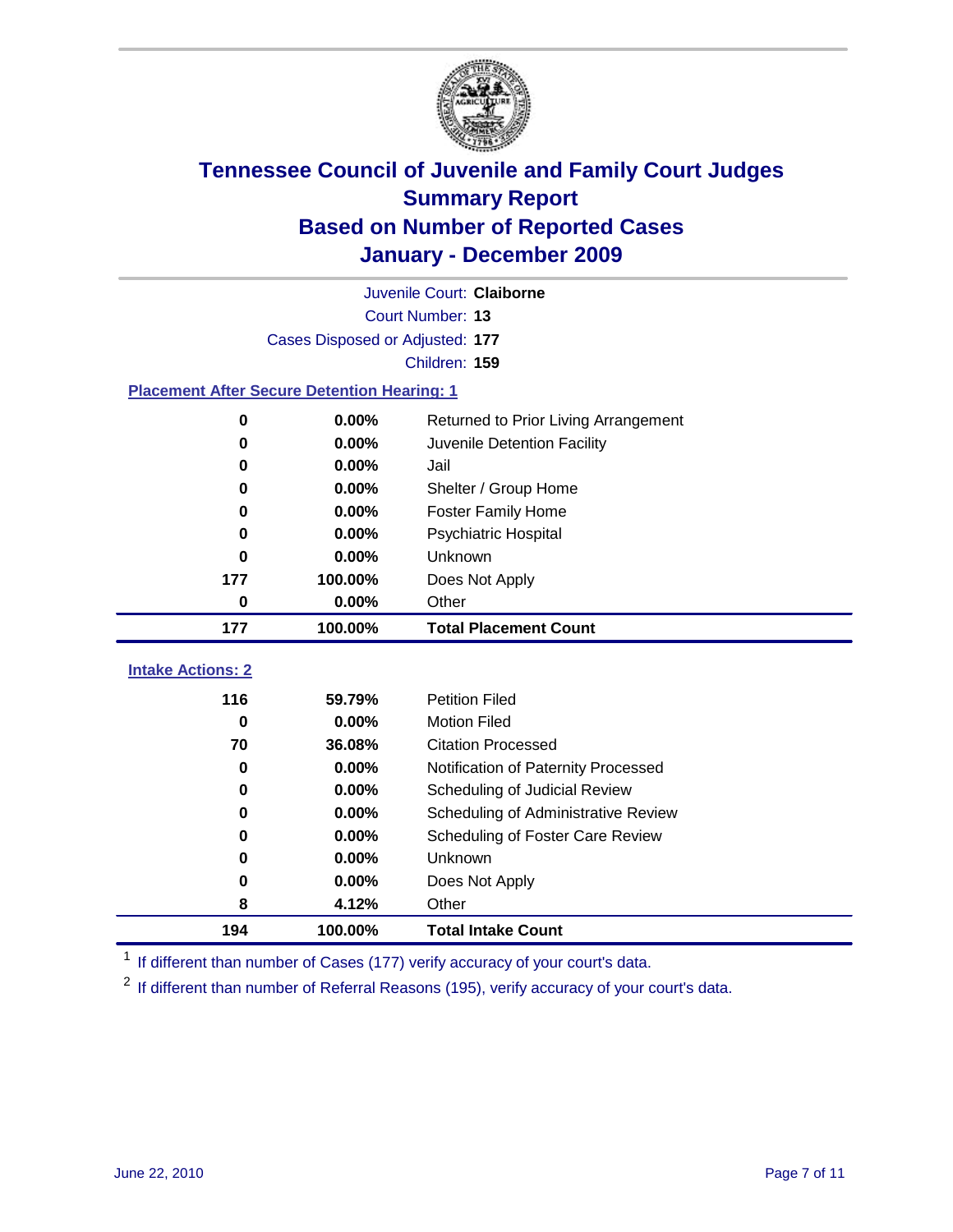

| Juvenile Court: Claiborne       |                                                    |                                      |  |  |  |  |
|---------------------------------|----------------------------------------------------|--------------------------------------|--|--|--|--|
|                                 | Court Number: 13                                   |                                      |  |  |  |  |
|                                 | Cases Disposed or Adjusted: 177                    |                                      |  |  |  |  |
|                                 | Children: 159                                      |                                      |  |  |  |  |
|                                 | <b>Placement After Secure Detention Hearing: 1</b> |                                      |  |  |  |  |
| $\mathbf 0$                     | 0.00%                                              | Returned to Prior Living Arrangement |  |  |  |  |
| 0                               | 0.00%                                              | Juvenile Detention Facility          |  |  |  |  |
| 0                               | 0.00%                                              | Jail                                 |  |  |  |  |
| 0                               | 0.00%                                              | Shelter / Group Home                 |  |  |  |  |
| 0                               | 0.00%                                              | <b>Foster Family Home</b>            |  |  |  |  |
| 0                               | 0.00%                                              | Psychiatric Hospital                 |  |  |  |  |
| 0                               | 0.00%                                              | Unknown                              |  |  |  |  |
| 177                             | 100.00%                                            | Does Not Apply                       |  |  |  |  |
| $\mathbf 0$                     | $0.00\%$                                           | Other                                |  |  |  |  |
|                                 |                                                    |                                      |  |  |  |  |
| 177                             | 100.00%                                            | <b>Total Placement Count</b>         |  |  |  |  |
|                                 |                                                    |                                      |  |  |  |  |
| <b>Intake Actions: 2</b><br>116 | 59.79%                                             | <b>Petition Filed</b>                |  |  |  |  |
| $\bf{0}$                        | 0.00%                                              | <b>Motion Filed</b>                  |  |  |  |  |
| 70                              | 36.08%                                             | <b>Citation Processed</b>            |  |  |  |  |
| 0                               | 0.00%                                              | Notification of Paternity Processed  |  |  |  |  |
| $\mathbf 0$                     | 0.00%                                              | Scheduling of Judicial Review        |  |  |  |  |
| 0                               | 0.00%                                              | Scheduling of Administrative Review  |  |  |  |  |
| 0                               | 0.00%                                              | Scheduling of Foster Care Review     |  |  |  |  |
| 0                               | 0.00%                                              | Unknown                              |  |  |  |  |
| 0                               | $0.00\%$                                           | Does Not Apply                       |  |  |  |  |
| 8                               | 4.12%                                              | Other                                |  |  |  |  |

<sup>1</sup> If different than number of Cases (177) verify accuracy of your court's data.

<sup>2</sup> If different than number of Referral Reasons (195), verify accuracy of your court's data.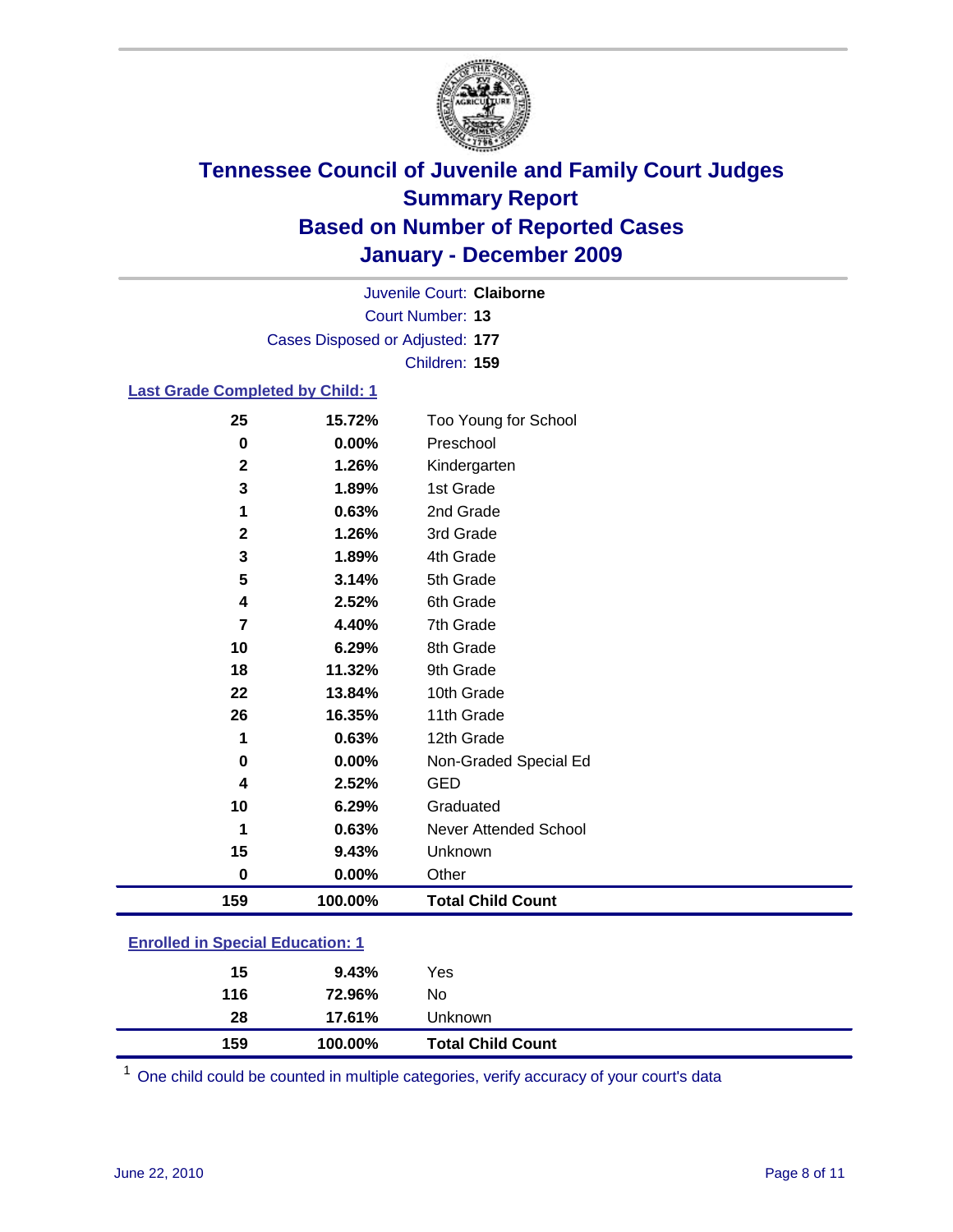

Court Number: **13** Juvenile Court: **Claiborne** Cases Disposed or Adjusted: **177** Children: **159**

### **Last Grade Completed by Child: 1**

| 25                                      | 15.72%  | Too Young for School         |  |
|-----------------------------------------|---------|------------------------------|--|
| $\bf{0}$                                | 0.00%   | Preschool                    |  |
| $\mathbf 2$                             | 1.26%   | Kindergarten                 |  |
| 3                                       | 1.89%   | 1st Grade                    |  |
| 1                                       | 0.63%   | 2nd Grade                    |  |
| $\mathbf 2$                             | 1.26%   | 3rd Grade                    |  |
| 3                                       | 1.89%   | 4th Grade                    |  |
| 5                                       | 3.14%   | 5th Grade                    |  |
| 4                                       | 2.52%   | 6th Grade                    |  |
| 7                                       | 4.40%   | 7th Grade                    |  |
| 10                                      | 6.29%   | 8th Grade                    |  |
| 18                                      | 11.32%  | 9th Grade                    |  |
| 22                                      | 13.84%  | 10th Grade                   |  |
| 26                                      | 16.35%  | 11th Grade                   |  |
| 1                                       | 0.63%   | 12th Grade                   |  |
| 0                                       | 0.00%   | Non-Graded Special Ed        |  |
| 4                                       | 2.52%   | <b>GED</b>                   |  |
| 10                                      | 6.29%   | Graduated                    |  |
| 1                                       | 0.63%   | <b>Never Attended School</b> |  |
| 15                                      | 9.43%   | Unknown                      |  |
| $\bf{0}$                                | 0.00%   | Other                        |  |
| 159                                     | 100.00% | <b>Total Child Count</b>     |  |
| <b>Enrolled in Special Education: 1</b> |         |                              |  |

| 159 | 100.00% | <b>Total Child Count</b> |  |  |
|-----|---------|--------------------------|--|--|
| 28  | 17.61%  | <b>Unknown</b>           |  |  |
| 116 | 72.96%  | No                       |  |  |
| 15  | 9.43%   | Yes                      |  |  |
|     |         |                          |  |  |

One child could be counted in multiple categories, verify accuracy of your court's data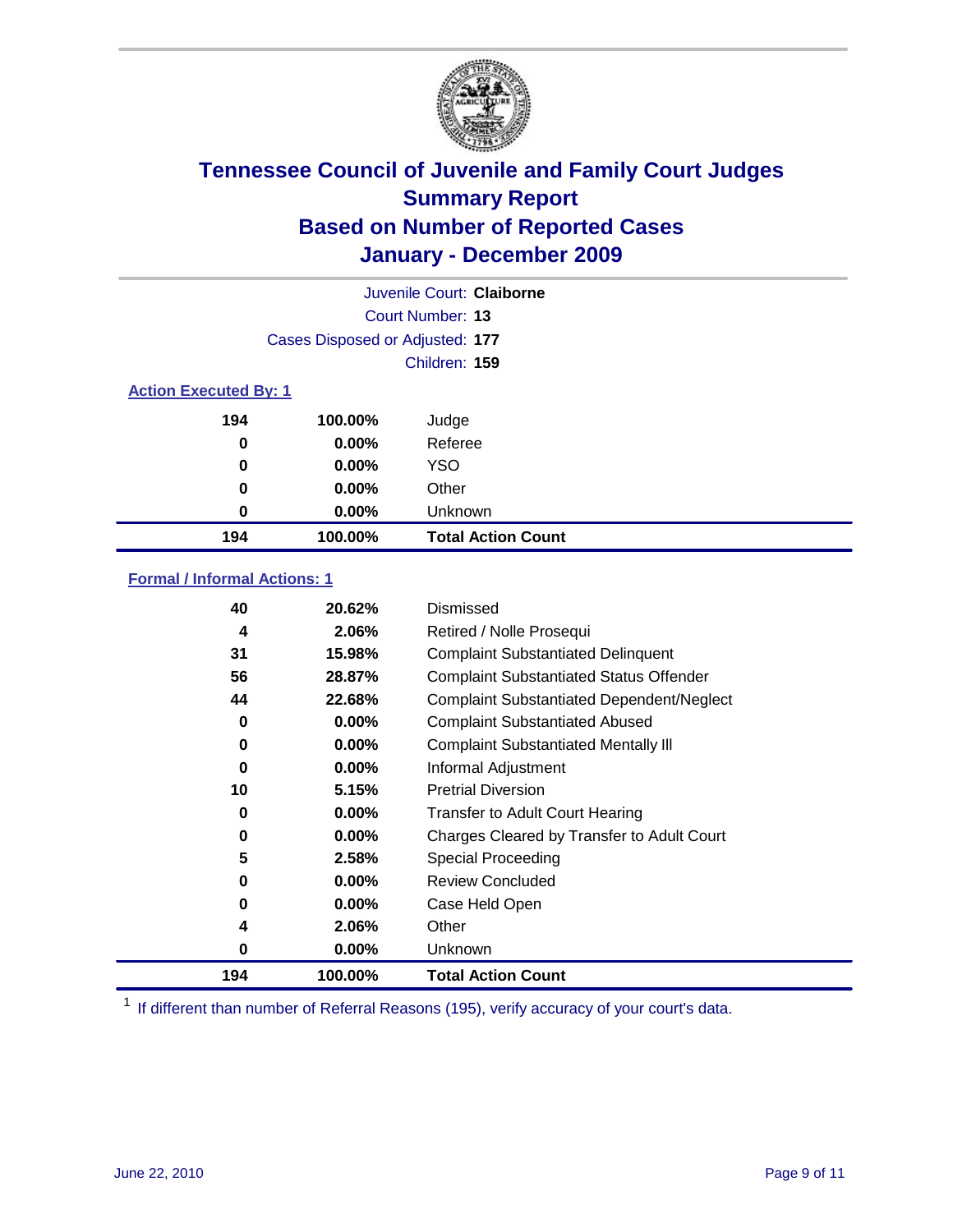

| Juvenile Court: Claiborne    |                                 |                           |  |  |  |
|------------------------------|---------------------------------|---------------------------|--|--|--|
|                              | Court Number: 13                |                           |  |  |  |
|                              | Cases Disposed or Adjusted: 177 |                           |  |  |  |
|                              | Children: 159                   |                           |  |  |  |
| <b>Action Executed By: 1</b> |                                 |                           |  |  |  |
| 194                          | 100.00%                         | Judge                     |  |  |  |
| 0                            | $0.00\%$                        | Referee                   |  |  |  |
| 0                            | $0.00\%$                        | <b>YSO</b>                |  |  |  |
| 0                            | $0.00\%$                        | Other                     |  |  |  |
| 0                            | $0.00\%$                        | Unknown                   |  |  |  |
| 194                          | 100.00%                         | <b>Total Action Count</b> |  |  |  |

### **Formal / Informal Actions: 1**

| 40  | 20.62%   | Dismissed                                        |
|-----|----------|--------------------------------------------------|
| 4   | 2.06%    | Retired / Nolle Prosequi                         |
| 31  | 15.98%   | <b>Complaint Substantiated Delinquent</b>        |
| 56  | 28.87%   | <b>Complaint Substantiated Status Offender</b>   |
| 44  | 22.68%   | <b>Complaint Substantiated Dependent/Neglect</b> |
| 0   | $0.00\%$ | <b>Complaint Substantiated Abused</b>            |
| 0   | $0.00\%$ | <b>Complaint Substantiated Mentally III</b>      |
| 0   | $0.00\%$ | Informal Adjustment                              |
| 10  | 5.15%    | <b>Pretrial Diversion</b>                        |
| 0   | $0.00\%$ | <b>Transfer to Adult Court Hearing</b>           |
| 0   | $0.00\%$ | Charges Cleared by Transfer to Adult Court       |
| 5   | 2.58%    | Special Proceeding                               |
| 0   | $0.00\%$ | <b>Review Concluded</b>                          |
| 0   | 0.00%    | Case Held Open                                   |
| 4   | 2.06%    | Other                                            |
| 0   | $0.00\%$ | Unknown                                          |
| 194 | 100.00%  | <b>Total Action Count</b>                        |

<sup>1</sup> If different than number of Referral Reasons (195), verify accuracy of your court's data.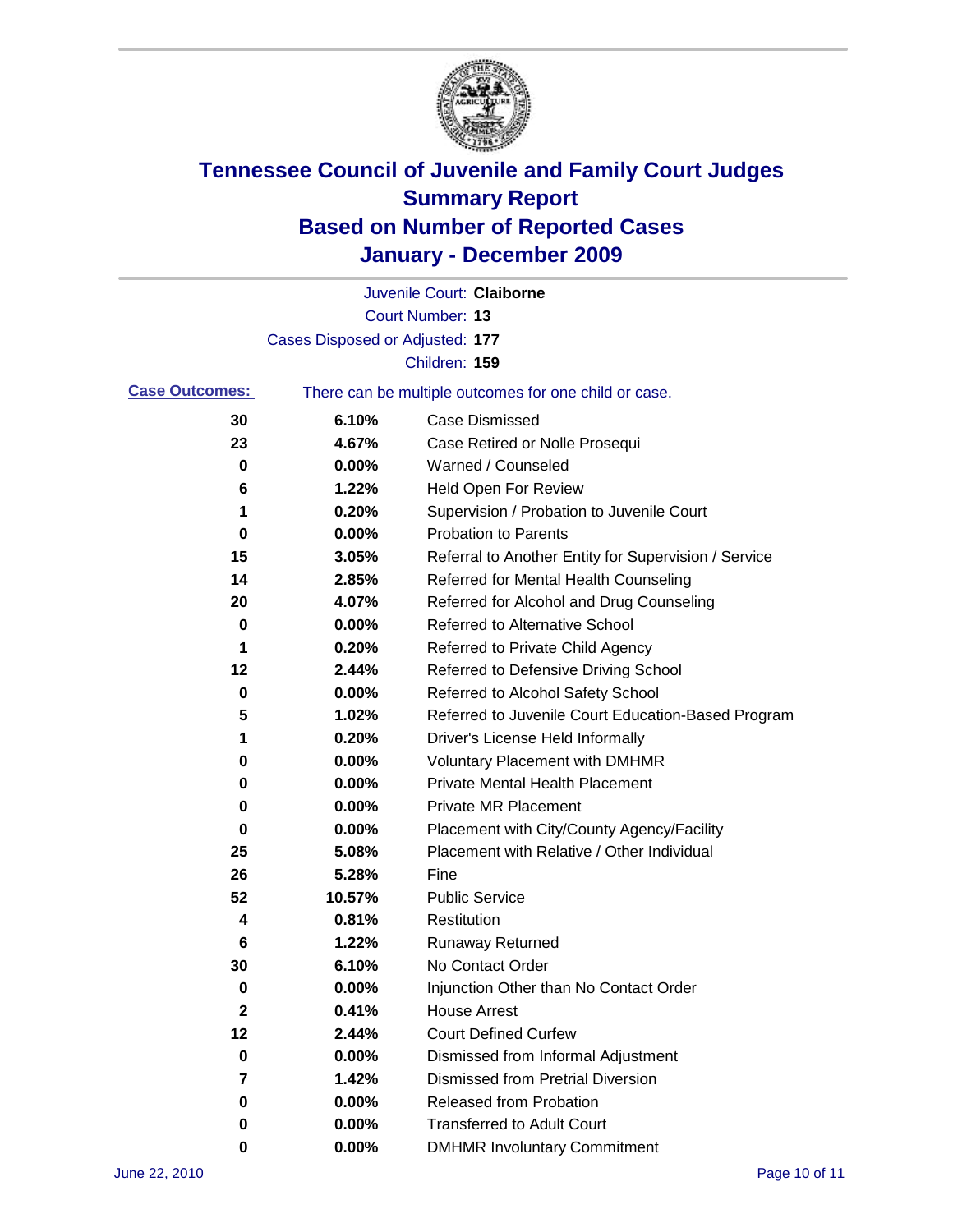

|                       |                                 | Juvenile Court: Claiborne                             |
|-----------------------|---------------------------------|-------------------------------------------------------|
|                       |                                 | Court Number: 13                                      |
|                       | Cases Disposed or Adjusted: 177 |                                                       |
|                       |                                 | Children: 159                                         |
| <b>Case Outcomes:</b> |                                 | There can be multiple outcomes for one child or case. |
| 30                    | 6.10%                           | <b>Case Dismissed</b>                                 |
| 23                    | 4.67%                           | Case Retired or Nolle Prosequi                        |
| 0                     | 0.00%                           | Warned / Counseled                                    |
| 6                     | 1.22%                           | Held Open For Review                                  |
| 1                     | 0.20%                           | Supervision / Probation to Juvenile Court             |
| 0                     | 0.00%                           | <b>Probation to Parents</b>                           |
| 15                    | 3.05%                           | Referral to Another Entity for Supervision / Service  |
| 14                    | 2.85%                           | Referred for Mental Health Counseling                 |
| 20                    | 4.07%                           | Referred for Alcohol and Drug Counseling              |
| 0                     | 0.00%                           | Referred to Alternative School                        |
| 1                     | 0.20%                           | Referred to Private Child Agency                      |
| 12                    | 2.44%                           | Referred to Defensive Driving School                  |
| 0                     | 0.00%                           | Referred to Alcohol Safety School                     |
| 5                     | 1.02%                           | Referred to Juvenile Court Education-Based Program    |
| 1                     | 0.20%                           | Driver's License Held Informally                      |
| 0                     | 0.00%                           | <b>Voluntary Placement with DMHMR</b>                 |
| 0                     | 0.00%                           | <b>Private Mental Health Placement</b>                |
| 0                     | 0.00%                           | <b>Private MR Placement</b>                           |
| 0                     | 0.00%                           | Placement with City/County Agency/Facility            |
| 25                    | 5.08%                           | Placement with Relative / Other Individual            |
| 26                    | 5.28%                           | Fine                                                  |
| 52                    | 10.57%                          | <b>Public Service</b>                                 |
| 4                     | 0.81%                           | Restitution                                           |
| 6                     | 1.22%                           | <b>Runaway Returned</b>                               |
| 30                    | 6.10%                           | No Contact Order                                      |
| 0                     | 0.00%                           | Injunction Other than No Contact Order                |
| 2                     | 0.41%                           | <b>House Arrest</b>                                   |
| 12                    | 2.44%                           | <b>Court Defined Curfew</b>                           |
| 0                     | $0.00\%$                        | Dismissed from Informal Adjustment                    |
| 7                     | 1.42%                           | <b>Dismissed from Pretrial Diversion</b>              |
| 0                     | 0.00%                           | Released from Probation                               |
| 0                     | $0.00\%$                        | <b>Transferred to Adult Court</b>                     |
| 0                     | 0.00%                           | <b>DMHMR Involuntary Commitment</b>                   |